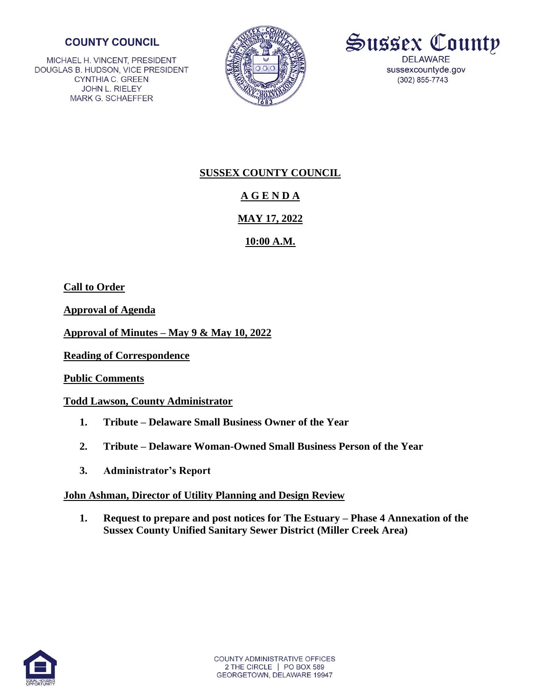## **COUNTY COUNCIL**

MICHAEL H. VINCENT, PRESIDENT DOUGLAS B. HUDSON, VICE PRESIDENT **CYNTHIA C. GREEN** JOHN L. RIELEY **MARK G. SCHAEFFER** 





## **SUSSEX COUNTY COUNCIL**

# **A G E N D A**

## **MAY 17, 2022**

## **10:00 A.M.**

**Call to Order**

**Approval of Agenda**

**Approval of Minutes – May 9 & May 10, 2022**

**Reading of Correspondence**

**Public Comments**

## **Todd Lawson, County Administrator**

- **1. Tribute – Delaware Small Business Owner of the Year**
- **2. Tribute – Delaware Woman-Owned Small Business Person of the Year**
- **3. Administrator's Report**

## **John Ashman, Director of Utility Planning and Design Review**

**1. Request to prepare and post notices for The Estuary – Phase 4 Annexation of the Sussex County Unified Sanitary Sewer District (Miller Creek Area)** 

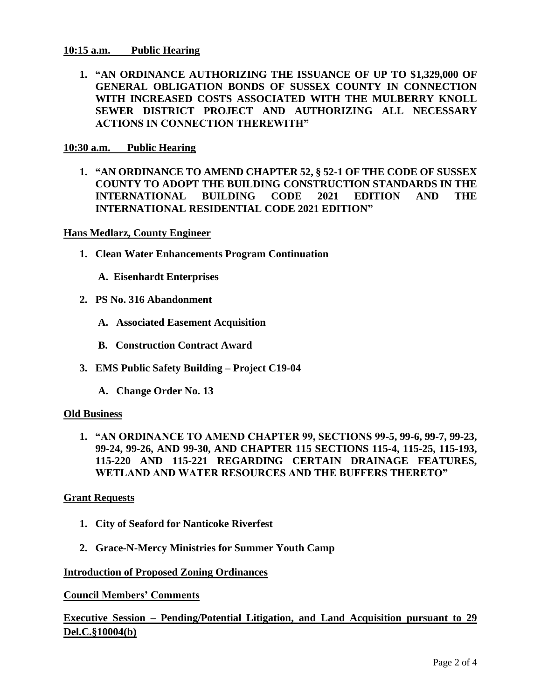#### **10:15 a.m. Public Hearing**

**1. "AN ORDINANCE AUTHORIZING THE ISSUANCE OF UP TO \$1,329,000 OF GENERAL OBLIGATION BONDS OF SUSSEX COUNTY IN CONNECTION WITH INCREASED COSTS ASSOCIATED WITH THE MULBERRY KNOLL SEWER DISTRICT PROJECT AND AUTHORIZING ALL NECESSARY ACTIONS IN CONNECTION THEREWITH"**

#### **10:30 a.m. Public Hearing**

**1. "AN ORDINANCE TO AMEND CHAPTER 52, § 52-1 OF THE CODE OF SUSSEX COUNTY TO ADOPT THE BUILDING CONSTRUCTION STANDARDS IN THE INTERNATIONAL BUILDING CODE 2021 EDITION AND THE INTERNATIONAL RESIDENTIAL CODE 2021 EDITION"**

**Hans Medlarz, County Engineer** 

- **1. Clean Water Enhancements Program Continuation** 
	- **A. Eisenhardt Enterprises**
- **2. PS No. 316 Abandonment**
	- **A. Associated Easement Acquisition**
	- **B. Construction Contract Award**
- **3. EMS Public Safety Building – Project C19-04**
	- **A. Change Order No. 13**

#### **Old Business**

**1. "AN ORDINANCE TO AMEND CHAPTER 99, SECTIONS 99-5, 99-6, 99-7, 99-23, 99-24, 99-26, AND 99-30, AND CHAPTER 115 SECTIONS 115-4, 115-25, 115-193, 115-220 AND 115-221 REGARDING CERTAIN DRAINAGE FEATURES, WETLAND AND WATER RESOURCES AND THE BUFFERS THERETO"**

#### **Grant Requests**

- **1. City of Seaford for Nanticoke Riverfest**
- **2. Grace-N-Mercy Ministries for Summer Youth Camp**

#### **Introduction of Proposed Zoning Ordinances**

**Council Members' Comments**

## **Executive Session – Pending/Potential Litigation, and Land Acquisition pursuant to 29 Del.C.§10004(b)**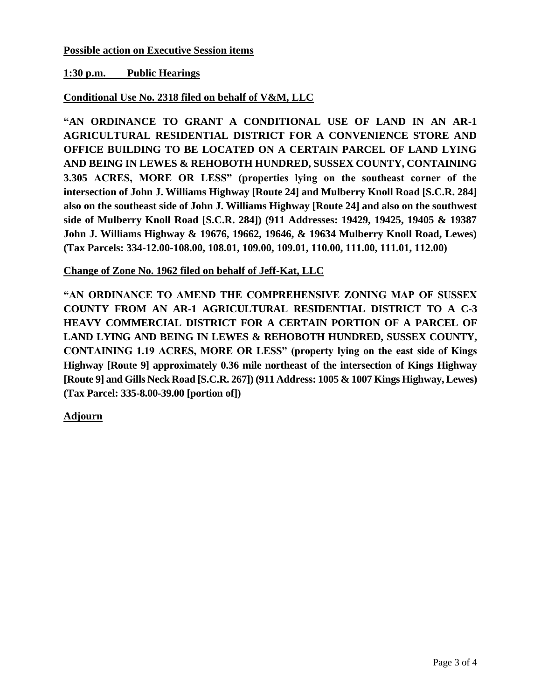### **Possible action on Executive Session items**

### **1:30 p.m. Public Hearings**

### **Conditional Use No. 2318 filed on behalf of V&M, LLC**

**"AN ORDINANCE TO GRANT A CONDITIONAL USE OF LAND IN AN AR-1 AGRICULTURAL RESIDENTIAL DISTRICT FOR A CONVENIENCE STORE AND OFFICE BUILDING TO BE LOCATED ON A CERTAIN PARCEL OF LAND LYING AND BEING IN LEWES & REHOBOTH HUNDRED, SUSSEX COUNTY, CONTAINING 3.305 ACRES, MORE OR LESS" (properties lying on the southeast corner of the intersection of John J. Williams Highway [Route 24] and Mulberry Knoll Road [S.C.R. 284] also on the southeast side of John J. Williams Highway [Route 24] and also on the southwest side of Mulberry Knoll Road [S.C.R. 284]) (911 Addresses: 19429, 19425, 19405 & 19387 John J. Williams Highway & 19676, 19662, 19646, & 19634 Mulberry Knoll Road, Lewes) (Tax Parcels: 334-12.00-108.00, 108.01, 109.00, 109.01, 110.00, 111.00, 111.01, 112.00)** 

### **Change of Zone No. 1962 filed on behalf of Jeff-Kat, LLC**

**"AN ORDINANCE TO AMEND THE COMPREHENSIVE ZONING MAP OF SUSSEX COUNTY FROM AN AR-1 AGRICULTURAL RESIDENTIAL DISTRICT TO A C-3 HEAVY COMMERCIAL DISTRICT FOR A CERTAIN PORTION OF A PARCEL OF LAND LYING AND BEING IN LEWES & REHOBOTH HUNDRED, SUSSEX COUNTY, CONTAINING 1.19 ACRES, MORE OR LESS" (property lying on the east side of Kings Highway [Route 9] approximately 0.36 mile northeast of the intersection of Kings Highway [Route 9] and Gills Neck Road [S.C.R. 267]) (911 Address: 1005 & 1007 Kings Highway, Lewes) (Tax Parcel: 335-8.00-39.00 [portion of])** 

**Adjourn**